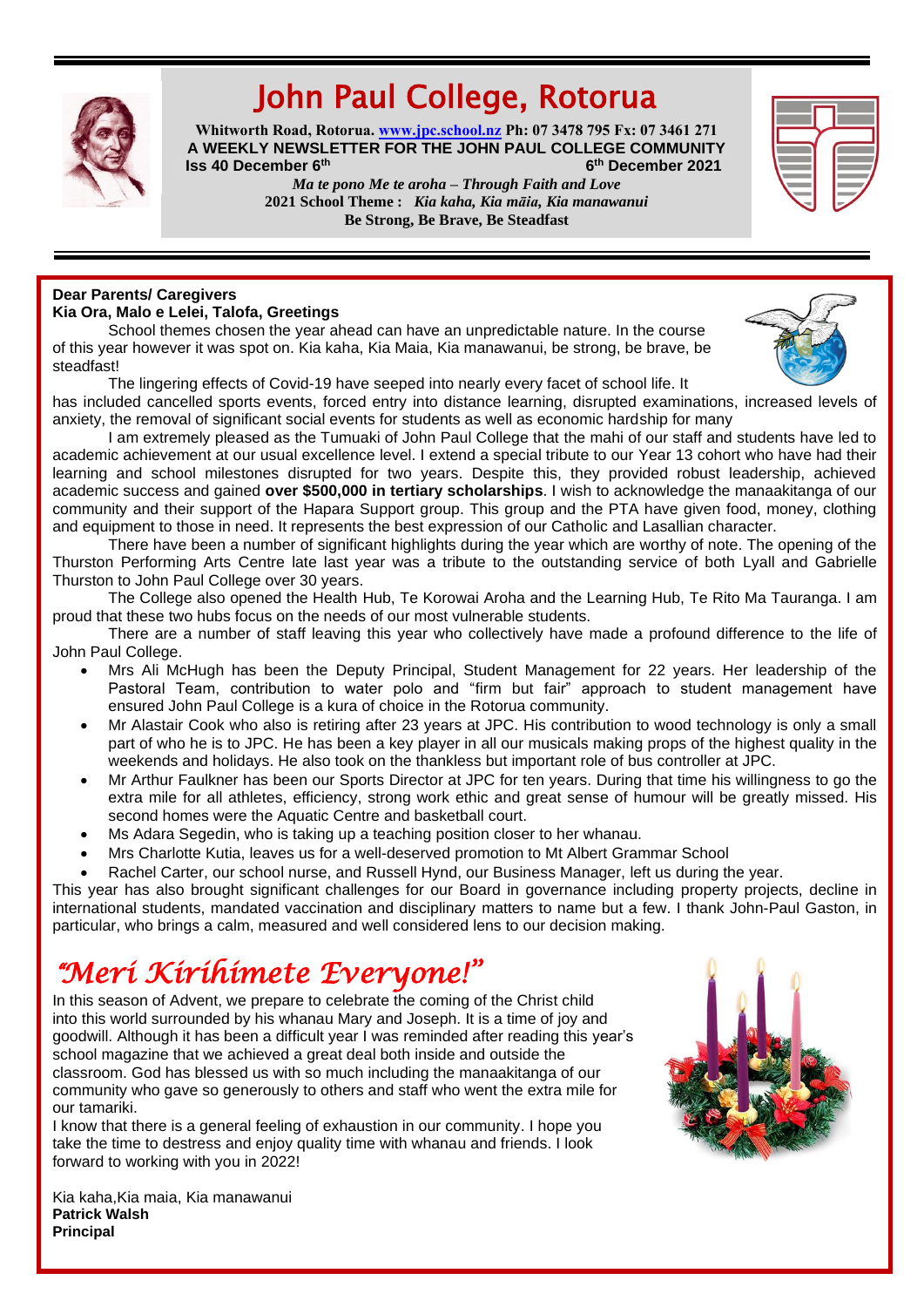

# John Paul College, Rotorua

**Whitworth Road, Rotorua. [www.jpc.school.nz](http://www.jpc.co.nz/) Ph: 07 3478 795 Fx: 07 3461 271 A WEEKLY NEWSLETTER FOR THE JOHN PAUL COLLEGE COMMUNITY Iss 40 December 6th 6 th December 2021**

*Ma te pono Me te aroha – Through Faith and Love* **2021 School Theme :** *Kia kaha, Kia māia, Kia manawanui* **Be Strong, Be Brave, Be Steadfast**

#### **Dear Parents/ Caregivers Kia Ora, Malo e Lelei, Talofa, Greetings**

School themes chosen the year ahead can have an unpredictable nature. In the course of this year however it was spot on. Kia kaha, Kia Maia, Kia manawanui, be strong, be brave, be steadfast!

The lingering effects of Covid-19 have seeped into nearly every facet of school life. It



has included cancelled sports events, forced entry into distance learning, disrupted examinations, increased levels of anxiety, the removal of significant social events for students as well as economic hardship for many

I am extremely pleased as the Tumuaki of John Paul College that the mahi of our staff and students have led to academic achievement at our usual excellence level. I extend a special tribute to our Year 13 cohort who have had their learning and school milestones disrupted for two years. Despite this, they provided robust leadership, achieved academic success and gained **over \$500,000 in tertiary scholarships**. I wish to acknowledge the manaakitanga of our community and their support of the Hapara Support group. This group and the PTA have given food, money, clothing and equipment to those in need. It represents the best expression of our Catholic and Lasallian character.

There have been a number of significant highlights during the year which are worthy of note. The opening of the Thurston Performing Arts Centre late last year was a tribute to the outstanding service of both Lyall and Gabrielle Thurston to John Paul College over 30 years.

The College also opened the Health Hub, Te Korowai Aroha and the Learning Hub, Te Rito Ma Tauranga. I am proud that these two hubs focus on the needs of our most vulnerable students.

There are a number of staff leaving this year who collectively have made a profound difference to the life of John Paul College.

- Mrs Ali McHugh has been the Deputy Principal, Student Management for 22 years. Her leadership of the Pastoral Team, contribution to water polo and "firm but fair" approach to student management have ensured John Paul College is a kura of choice in the Rotorua community.
- Mr Alastair Cook who also is retiring after 23 years at JPC. His contribution to wood technology is only a small part of who he is to JPC. He has been a key player in all our musicals making props of the highest quality in the weekends and holidays. He also took on the thankless but important role of bus controller at JPC.
- Mr Arthur Faulkner has been our Sports Director at JPC for ten years. During that time his willingness to go the extra mile for all athletes, efficiency, strong work ethic and great sense of humour will be greatly missed. His second homes were the Aquatic Centre and basketball court.
- Ms Adara Segedin, who is taking up a teaching position closer to her whanau.
- Mrs Charlotte Kutia, leaves us for a well-deserved promotion to Mt Albert Grammar School
- Rachel Carter, our school nurse, and Russell Hynd, our Business Manager, left us during the year.

This year has also brought significant challenges for our Board in governance including property projects, decline in international students, mandated vaccination and disciplinary matters to name but a few. I thank John-Paul Gaston, in particular, who brings a calm, measured and well considered lens to our decision making.

# "*Meri Kirihimete Everyone!"*

In this season of Advent, we prepare to celebrate the coming of the Christ child into this world surrounded by his whanau Mary and Joseph. It is a time of joy and goodwill. Although it has been a difficult year I was reminded after reading this year's school magazine that we achieved a great deal both inside and outside the classroom. God has blessed us with so much including the manaakitanga of our community who gave so generously to others and staff who went the extra mile for our tamariki.

I know that there is a general feeling of exhaustion in our community. I hope you take the time to destress and enjoy quality time with whanau and friends. I look forward to working with you in 2022!



Kia kaha,Kia maia, Kia manawanui **Patrick Walsh Principal**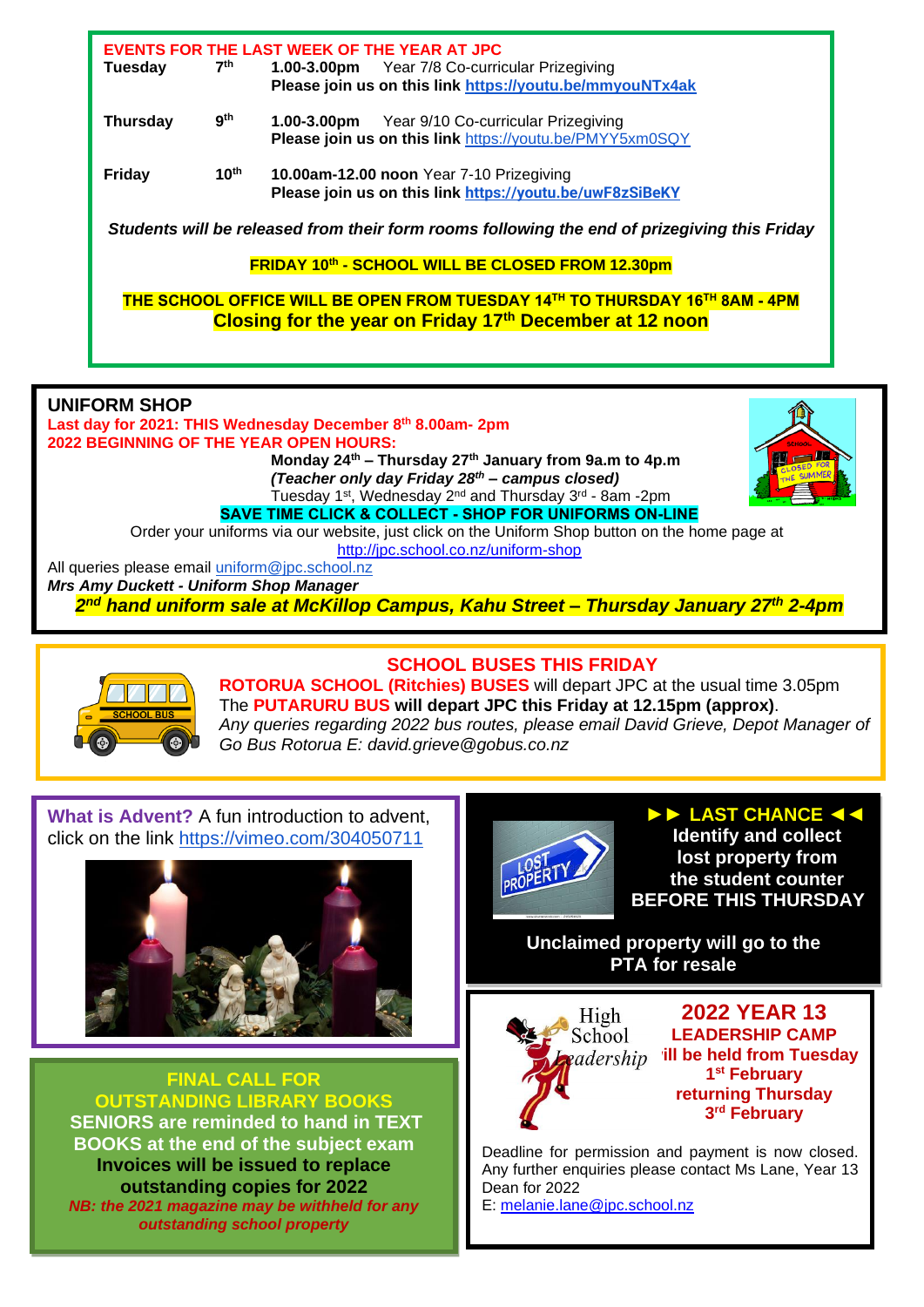| Tuesday                                                                                                                                | 7 <sup>th</sup>  | <b>EVENTS FOR THE LAST WEEK OF THE YEAR AT JPC</b><br><b>1.00-3.00pm</b> Year 7/8 Co-curricular Prizegiving<br>Please join us on this link https://youtu.be/mmyouNTx4ak |  |  |
|----------------------------------------------------------------------------------------------------------------------------------------|------------------|-------------------------------------------------------------------------------------------------------------------------------------------------------------------------|--|--|
| <b>Thursday</b>                                                                                                                        | gth              | 1.00-3.00pm Year 9/10 Co-curricular Prizegiving<br>Please join us on this link https://youtu.be/PMYY5xm0SQY                                                             |  |  |
| <b>Friday</b>                                                                                                                          | 10 <sup>th</sup> | 10.00am-12.00 noon Year 7-10 Prizegiving<br>Please join us on this link https://youtu.be/uwF8zSiBeKY                                                                    |  |  |
| Students will be released from their form rooms following the end of prizegiving this Friday                                           |                  |                                                                                                                                                                         |  |  |
| FRIDAY 10th - SCHOOL WILL BE CLOSED FROM 12.30pm                                                                                       |                  |                                                                                                                                                                         |  |  |
| THE SCHOOL OFFICE WILL BE OPEN FROM TUESDAY 14TH TO THURSDAY 16TH 8AM - 4PM<br>Closing for the year on Friday 17th December at 12 noon |                  |                                                                                                                                                                         |  |  |

## **UNIFORM SHOP**

**Last day for 2021: THIS Wednesday December 8 th 8.00am- 2pm 2022 BEGINNING OF THE YEAR OPEN HOURS: Monday 24 th – Thursday 27th January from 9a.m to 4p.m** *(Teacher only day Friday 28th – campus closed)* Tuesday 1st , Wednesday 2nd and Thursday 3rd - 8am -2pm **SAVE TIME CLICK & COLLECT - SHOP FOR UNIFORMS ON-LINE**  Order your uniforms via our website, just click on the Uniform Shop button on the home page at <http://jpc.school.co.nz/uniform-shop> All queries please email [uniform@jpc.school.nz](mailto:uniform@jpc.school.nz) *Mrs Amy Duckett - Uniform Shop Manager* 

*2 nd hand uniform sale at McKillop Campus, Kahu Street – Thursday January 27th 2-4pm*



## **SCHOOL BUSES THIS FRIDAY**

**ROTORUA SCHOOL (Ritchies) BUSES** will depart JPC at the usual time 3.05pm The **PUTARURU BUS will depart JPC this Friday at 12.15pm (approx)**. *Any queries regarding 2022 bus routes, please email David Grieve, Depot Manager of Go Bus Rotorua E: david.grieve@gobus.co.nz*

## **What is Advent?** A fun introduction to advent, click on the link<https://vimeo.com/304050711>



## **FINAL CALL FOR OUTSTANDING LIBRARY BOOKS**

**SENIORS are reminded to hand in TEXT BOOKS at the end of the subject exam Invoices will be issued to replace outstanding copies for 2022** *NB: the 2021 magazine may be withheld for any outstanding school property*



### **►► LAST CHANCE ◄◄ Identify and collect lost property from the student counter BEFORE THIS THURSDAY**

**Unclaimed property will go to the PTA for resale**



**2022 YEAR 13 LEADERSHIP CAMP will be held from Tuesday 1 st February returning Thursday 3 rd February**

Deadline for permission and payment is now closed. Any further enquiries please contact Ms Lane, Year 13 Dean for 2022 E: [melanie.lane@jpc.school.nz](mailto:melanie.lane@jpc.school.nz)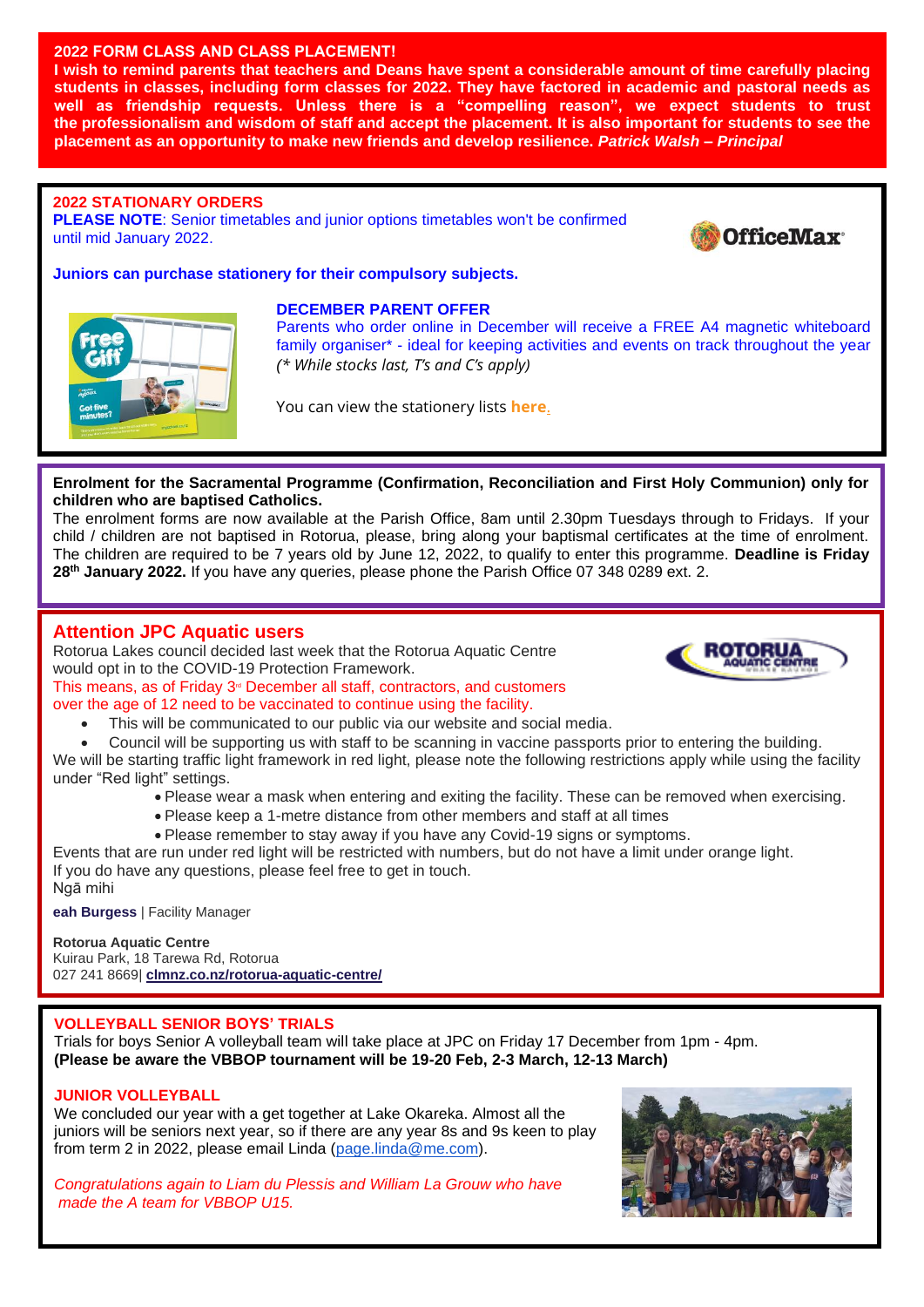#### **2022 FORM CLASS AND CLASS PLACEMENT!**

**I wish to remind parents that teachers and Deans have spent a considerable amount of time carefully placing students in classes, including form classes for 2022. They have factored in academic and pastoral needs as well as friendship requests. Unless there is a "compelling reason", we expect students to trust the professionalism and wisdom of staff and accept the placement. It is also important for students to see the placement as an opportunity to make new friends and develop resilience.** *Patrick Walsh – Principal* 

#### **2022 STATIONARY ORDERS**

**PLEASE NOTE**: Senior timetables and junior options timetables won't be confirmed until mid January 2022.



**Juniors can purchase stationery for their compulsory subjects.**



#### **DECEMBER PARENT OFFER**

Parents who order online in December will receive a FREE A4 magnetic whiteboard family organiser\* - ideal for keeping activities and events on track throughout the year *(\* While stocks last, T's and C's apply)*

You can view the stationery lists **[here](https://www.myschool.co.nz/johnpaulcollege)**.

#### **Enrolment for the Sacramental Programme (Confirmation, Reconciliation and First Holy Communion) only for children who are baptised Catholics.**

The enrolment forms are now available at the Parish Office, 8am until 2.30pm Tuesdays through to Fridays. If your child / children are not baptised in Rotorua, please, bring along your baptismal certificates at the time of enrolment. The children are required to be 7 years old by June 12, 2022, to qualify to enter this programme. **Deadline is Friday 28th January 2022.** If you have any queries, please phone the Parish Office 07 348 0289 ext. 2.

#### **Attention JPC Aquatic users**

Rotorua Lakes council decided last week that the Rotorua Aquatic Centre would opt in to the COVID-19 Protection Framework. This means, as of Friday 3<sup>rd</sup> December all staff, contractors, and customers



- over the age of 12 need to be vaccinated to continue using the facility. This will be communicated to our public via our website and social media.
	-

• Council will be supporting us with staff to be scanning in vaccine passports prior to entering the building. We will be starting traffic light framework in red light, please note the following restrictions apply while using the facility under "Red light" settings.

- Please wear a mask when entering and exiting the facility. These can be removed when exercising.
- Please keep a 1-metre distance from other members and staff at all times
- Please remember to stay away if you have any Covid-19 signs or symptoms.

Events that are run under red light will be restricted with numbers, but do not have a limit under orange light. If you do have any questions, please feel free to get in touch. Ngā mihi

**eah Burgess** | Facility Manager

#### **Rotorua Aquatic Centre** Kuirau Park, 18 Tarewa Rd, Rotorua 027 241 8669| **[clmnz.co.nz/rotorua-aquatic-centre/](https://www.clmnz.co.nz/rotorua-aquatic-centre/)**

#### **VOLLEYBALL SENIOR BOYS' TRIALS**

Trials for boys Senior A volleyball team will take place at JPC on Friday 17 December from 1pm - 4pm. **(Please be aware the VBBOP tournament will be 19-20 Feb, 2-3 March, 12-13 March)**

#### **JUNIOR VOLLEYBALL**

We concluded our year with a get together at Lake Okareka. Almost all the juniors will be seniors next year, so if there are any year 8s and 9s keen to play from term 2 in 2022, please email Linda [\(page.linda@me.com\)](mailto:page.linda@me.com).

*Congratulations again to Liam du Plessis and William La Grouw who have made the A team for VBBOP U15.*

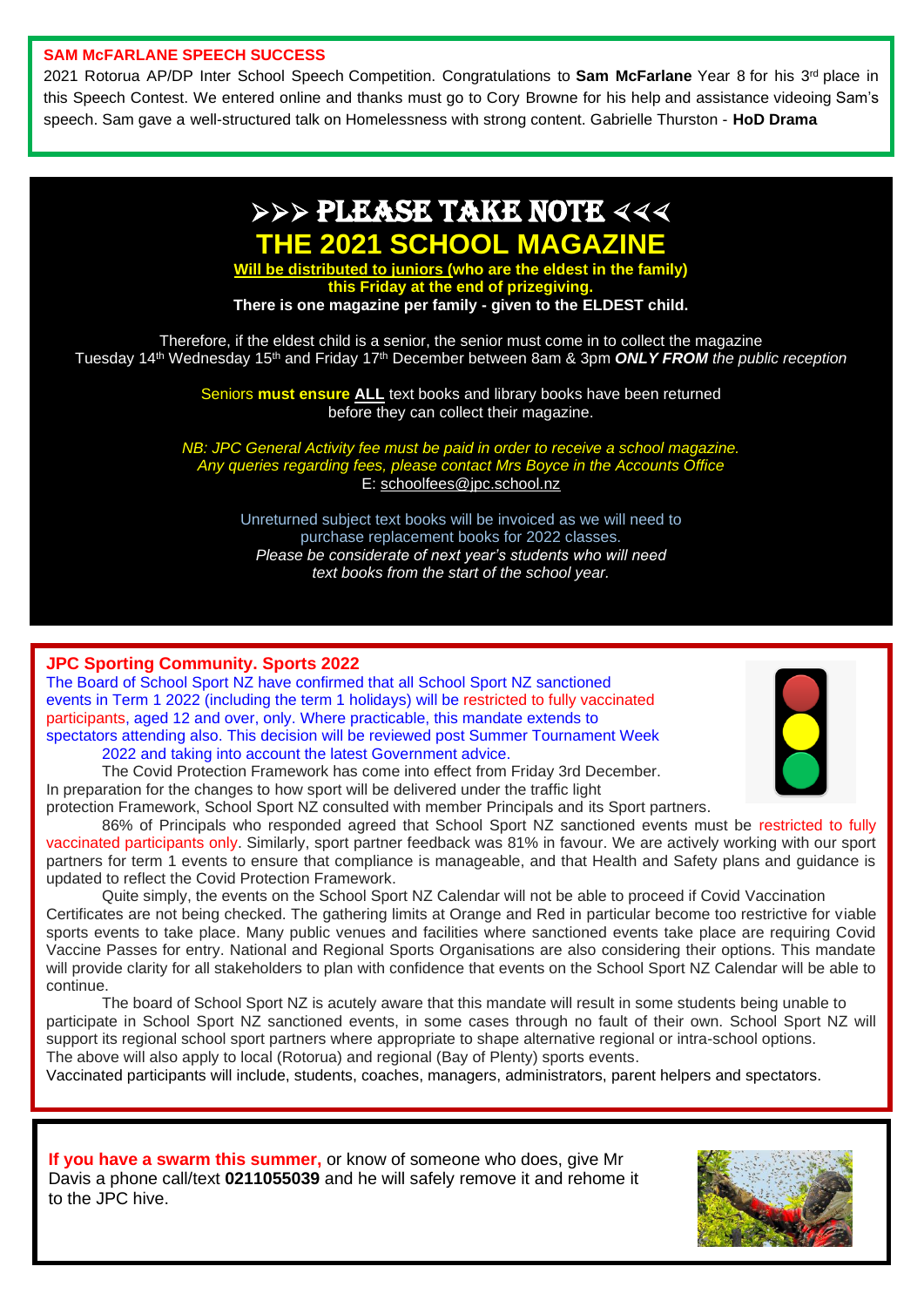#### **SAM McFARLANE SPEECH SUCCESS**

2021 Rotorua AP/DP Inter School Speech Competition. Congratulations to **Sam McFarlane** Year 8 for his 3rd place in this Speech Contest. We entered online and thanks must go to Cory Browne for his help and assistance videoing Sam's speech. Sam gave a well-structured talk on Homelessness with strong content. Gabrielle Thurston - **HoD Drama**

## ➢➢➢ PLEASE TAKE NOTE **THE 2021 SCHOOL MAGAZINE**

**Will be distributed to juniors (who are the eldest in the family) this Friday at the end of prizegiving.**

**There is one magazine per family - given to the ELDEST child.**

Therefore, if the eldest child is a senior, the senior must come in to collect the magazine Tuesday 14<sup>th</sup> Wednesday 15<sup>th</sup> and Friday 17<sup>th</sup> December between 8am & 3pm *ONLY FROM the public reception* 

> Seniors **must ensure ALL** text books and library books have been returned before they can collect their magazine.

*NB: JPC General Activity fee must be paid in order to receive a school magazine. Any queries regarding fees, please contact Mrs Boyce in the Accounts Office* E: [schoolfees@jpc.school.nz](mailto:schoolfees@jpc.school.nz) 

> Unreturned subject text books will be invoiced as we will need to purchase replacement books for 2022 classes. *Please be considerate of next year's students who will need text books from the start of the school year.*

#### **JPC Sporting Community. Sports 2022**

The Board of School Sport NZ have confirmed that all School Sport NZ sanctioned events in Term 1 2022 (including the term 1 holidays) will be restricted to fully vaccinated participants, aged 12 and over, only. Where practicable, this mandate extends to spectators attending also. This decision will be reviewed post Summer Tournament Week 2022 and taking into account the latest Government advice.



The Covid Protection Framework has come into effect from Friday 3rd December. In preparation for the changes to how sport will be delivered under the traffic light

protection Framework, School Sport NZ consulted with member Principals and its Sport partners.

86% of Principals who responded agreed that School Sport NZ sanctioned events must be restricted to fully vaccinated participants only. Similarly, sport partner feedback was 81% in favour. We are actively working with our sport partners for term 1 events to ensure that compliance is manageable, and that Health and Safety plans and guidance is updated to reflect the Covid Protection Framework.

Quite simply, the events on the School Sport NZ Calendar will not be able to proceed if Covid Vaccination Certificates are not being checked. The gathering limits at Orange and Red in particular become too restrictive for viable sports events to take place. Many public venues and facilities where sanctioned events take place are requiring Covid Vaccine Passes for entry. National and Regional Sports Organisations are also considering their options. This mandate will provide clarity for all stakeholders to plan with confidence that events on the School Sport NZ Calendar will be able to continue.

The board of School Sport NZ is acutely aware that this mandate will result in some students being unable to participate in School Sport NZ sanctioned events, in some cases through no fault of their own. School Sport NZ will support its regional school sport partners where appropriate to shape alternative regional or intra-school options. The above will also apply to local (Rotorua) and regional (Bay of Plenty) sports events.

Vaccinated participants will include, students, coaches, managers, administrators, parent helpers and spectators.

**If you have a swarm this summer,** or know of someone who does, give Mr Davis a phone call/text **0211055039** and he will safely remove it and rehome it to the JPC hive.